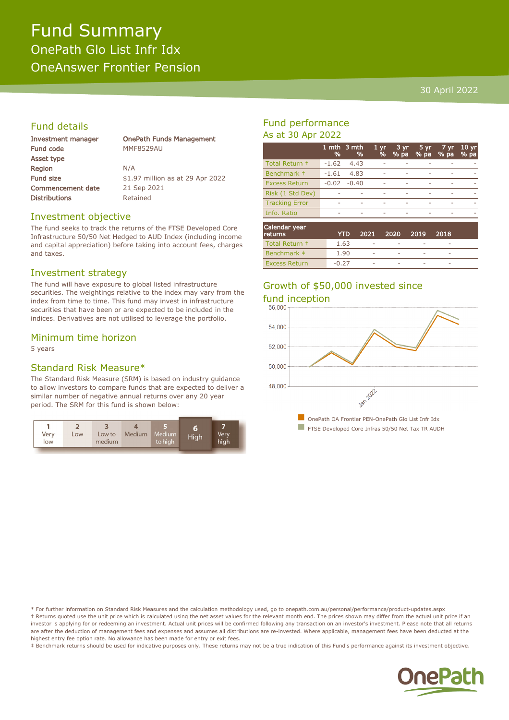### Fund Summary OnePath Glo List Infr Idx OneAnswer Frontier Pension

#### 30 April 2022

#### Fund details

| <b>Investment manager</b> | <b>OnePath Funds Management</b>  |
|---------------------------|----------------------------------|
| Fund code                 | <b>MMF8529AU</b>                 |
| Asset type                |                                  |
| Region                    | N/A                              |
| <b>Fund size</b>          | \$1.97 million as at 29 Apr 2022 |
| <b>Commencement date</b>  | 21 Sep 2021                      |
| <b>Distributions</b>      | Retained                         |
|                           |                                  |

#### Investment objective

The fund seeks to track the returns of the FTSE Developed Core Infrastructure 50/50 Net Hedged to AUD Index (including income and capital appreciation) before taking into account fees, charges and taxes.

#### Investment strategy

The fund will have exposure to global listed infrastructure securities. The weightings relative to the index may vary from the index from time to time. This fund may invest in infrastructure securities that have been or are expected to be included in the indices. Derivatives are not utilised to leverage the portfolio.

#### Minimum time horizon

5 years

#### Standard Risk Measure\*

The Standard Risk Measure (SRM) is based on industry guidance to allow investors to compare funds that are expected to deliver a similar number of negative annual returns over any 20 year period. The SRM for this fund is shown below:



#### Fund performance As at 30 Apr 2022

|                       | %       | 1 mth 3 mth<br>%         | 1 <sub>vr</sub><br>% | 3 yr<br>% pa | 5 yr<br>% pa | 7 yr<br>% pa | 10 <sub>yr</sub><br>% pa |
|-----------------------|---------|--------------------------|----------------------|--------------|--------------|--------------|--------------------------|
| Total Return +        | -1.62   | 4.43                     |                      |              |              |              |                          |
| Benchmark #           | $-1.61$ | 4.83                     |                      |              |              |              |                          |
| <b>Excess Return</b>  | $-0.02$ | $-0.40$                  |                      |              |              |              |                          |
| Risk (1 Std Dev)      |         |                          |                      |              |              |              |                          |
| <b>Tracking Error</b> |         |                          |                      |              |              |              |                          |
| Info. Ratio           | -       | $\overline{\phantom{a}}$ | ٠                    | ۰            | ۰            | -            |                          |
| Calendar vear         |         |                          |                      |              |              |              |                          |

| Calendar year<br>returns | YTD     | 2021                     | -2020       | -2019       | 2018                     |  |
|--------------------------|---------|--------------------------|-------------|-------------|--------------------------|--|
| Total Return +           | 1.63    | ۰                        |             |             |                          |  |
| Benchmark #              | 1.90    | ۰                        | <b>STAR</b> | <b>STAR</b> |                          |  |
| <b>Excess Return</b>     | $-0.27$ | $\overline{\phantom{a}}$ | <b>STAR</b> |             | $\overline{\phantom{a}}$ |  |

# Growth of \$50,000 invested since



\* For further information on Standard Risk Measures and the calculation methodology used, go to onepath.com.au/personal/performance/product-updates.aspx † Returns quoted use the unit price which is calculated using the net asset values for the relevant month end. The prices shown may differ from the actual unit price if an investor is applying for or redeeming an investment. Actual unit prices will be confirmed following any transaction on an investor's investment. Please note that all returns are after the deduction of management fees and expenses and assumes all distributions are re-invested. Where applicable, management fees have been deducted at the highest entry fee option rate. No allowance has been made for entry or exit fees.

‡ Benchmark returns should be used for indicative purposes only. These returns may not be a true indication of this Fund's performance against its investment objective.